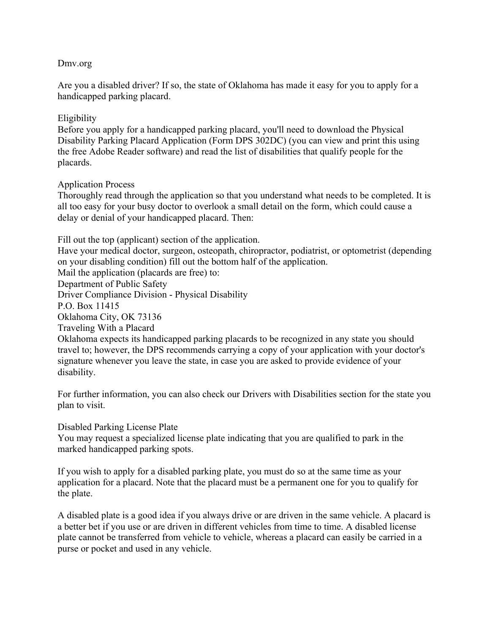## Dmv.org

Are you a disabled driver? If so, the state of Oklahoma has made it easy for you to apply for a handicapped parking placard.

## Eligibility

Before you apply for a handicapped parking placard, you'll need to download the Physical Disability Parking Placard Application (Form DPS 302DC) (you can view and print this using the free Adobe Reader software) and read the list of disabilities that qualify people for the placards.

## Application Process

Thoroughly read through the application so that you understand what needs to be completed. It is all too easy for your busy doctor to overlook a small detail on the form, which could cause a delay or denial of your handicapped placard. Then:

Fill out the top (applicant) section of the application. Have your medical doctor, surgeon, osteopath, chiropractor, podiatrist, or optometrist (depending on your disabling condition) fill out the bottom half of the application. Mail the application (placards are free) to: Department of Public Safety Driver Compliance Division - Physical Disability P.O. Box 11415 Oklahoma City, OK 73136 Traveling With a Placard Oklahoma expects its handicapped parking placards to be recognized in any state you should travel to; however, the DPS recommends carrying a copy of your application with your doctor's signature whenever you leave the state, in case you are asked to provide evidence of your disability.

For further information, you can also check our Drivers with Disabilities section for the state you plan to visit.

## Disabled Parking License Plate

You may request a specialized license plate indicating that you are qualified to park in the marked handicapped parking spots.

If you wish to apply for a disabled parking plate, you must do so at the same time as your application for a placard. Note that the placard must be a permanent one for you to qualify for the plate.

A disabled plate is a good idea if you always drive or are driven in the same vehicle. A placard is a better bet if you use or are driven in different vehicles from time to time. A disabled license plate cannot be transferred from vehicle to vehicle, whereas a placard can easily be carried in a purse or pocket and used in any vehicle.